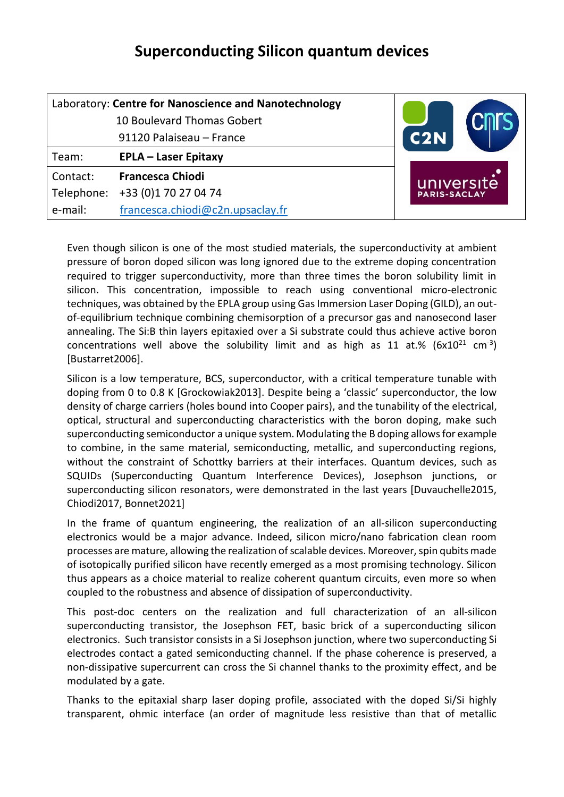## **Superconducting Silicon quantum devices**

|            | Laboratory: Centre for Nanoscience and Nanotechnology<br>10 Boulevard Thomas Gobert<br>91120 Palaiseau - France | <b>CIII S</b><br>C <sub>2N</sub> |
|------------|-----------------------------------------------------------------------------------------------------------------|----------------------------------|
| Team:      | <b>EPLA - Laser Epitaxy</b>                                                                                     |                                  |
| Contact:   | <b>Francesca Chiodi</b>                                                                                         | université                       |
| Telephone: | +33 (0)1 70 27 04 74                                                                                            | <b>PARIS-SACLAY</b>              |
| e-mail:    | francesca.chiodi@c2n.upsaclay.fr                                                                                |                                  |

Even though silicon is one of the most studied materials, the superconductivity at ambient pressure of boron doped silicon was long ignored due to the extreme doping concentration required to trigger superconductivity, more than three times the boron solubility limit in silicon. This concentration, impossible to reach using conventional micro-electronic techniques, was obtained by the EPLA group using Gas Immersion Laser Doping (GILD), an outof-equilibrium technique combining chemisorption of a precursor gas and nanosecond laser annealing. The Si:B thin layers epitaxied over a Si substrate could thus achieve active boron concentrations well above the solubility limit and as high as 11 at.% (6x10<sup>21</sup> cm<sup>-3</sup>) [Bustarret2006].

Silicon is a low temperature, BCS, superconductor, with a critical temperature tunable with doping from 0 to 0.8 K [Grockowiak2013]. Despite being a 'classic' superconductor, the low density of charge carriers (holes bound into Cooper pairs), and the tunability of the electrical, optical, structural and superconducting characteristics with the boron doping, make such superconducting semiconductor a unique system. Modulating the B doping allows for example to combine, in the same material, semiconducting, metallic, and superconducting regions, without the constraint of Schottky barriers at their interfaces. Quantum devices, such as SQUIDs (Superconducting Quantum Interference Devices), Josephson junctions, or superconducting silicon resonators, were demonstrated in the last years [Duvauchelle2015, Chiodi2017, Bonnet2021]

In the frame of quantum engineering, the realization of an all-silicon superconducting electronics would be a major advance. Indeed, silicon micro/nano fabrication clean room processes are mature, allowing the realization of scalable devices. Moreover, spin qubits made of isotopically purified silicon have recently emerged as a most promising technology. Silicon thus appears as a choice material to realize coherent quantum circuits, even more so when coupled to the robustness and absence of dissipation of superconductivity.

This post-doc centers on the realization and full characterization of an all-silicon superconducting transistor, the Josephson FET, basic brick of a superconducting silicon electronics. Such transistor consists in a Si Josephson junction, where two superconducting Si electrodes contact a gated semiconducting channel. If the phase coherence is preserved, a non-dissipative supercurrent can cross the Si channel thanks to the proximity effect, and be modulated by a gate.

Thanks to the epitaxial sharp laser doping profile, associated with the doped Si/Si highly transparent, ohmic interface (an order of magnitude less resistive than that of metallic